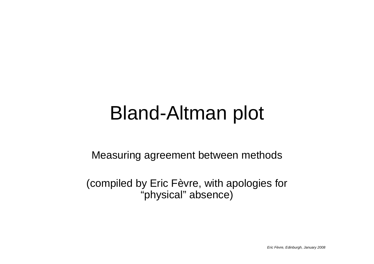## Bland-Altman plot

Measuring agreement between methods

(compiled by Eric Fèvre, with apologies for "physical" absence)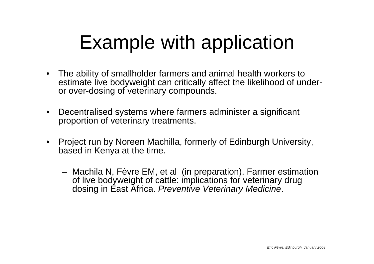### Example with application

- $\bullet$  The ability of smallholder farmers and animal health workers to estimate live bodyweight can critically affect the likelihood of underor over-dosing of veterinary compounds.
- $\bullet$  Decentralised systems where farmers administer a significant proportion of veterinary treatments.
- $\bullet$  Project run by Noreen Machilla, formerly of Edinburgh University, based in Kenya at the time.
	- Machila N, Fèvre EM, et al (in preparation). Farmer estimation of live bodyweight of cattle: implications for veterinary drug dosing in East Africa. *Preventive Veterinary Medicine*.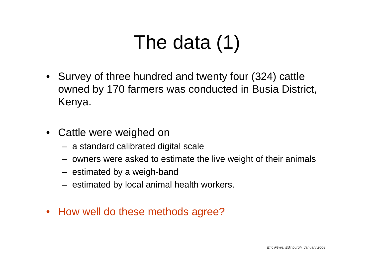# The data (1)

- Survey of three hundred and twenty four (324) cattle owned by 170 farmers was conducted in Busia District, Kenya.
- Cattle were weighed on
	- a standard calibrated digital scale
	- owners were asked to estimate the live weight of their animals
	- estimated by a weigh-band
	- estimated by local animal health workers.
- How well do these methods agree?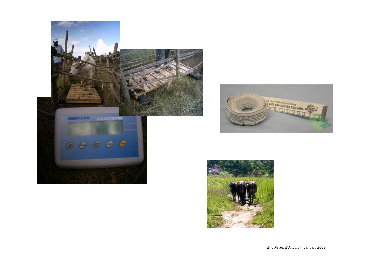



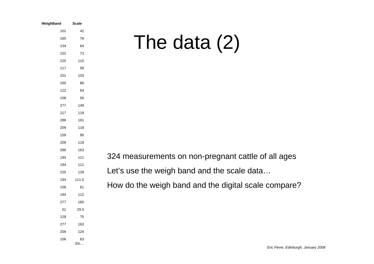| WeighBand  | <b>Scale</b> |                                                      |
|------------|--------------|------------------------------------------------------|
| 101        | 42           |                                                      |
| 165        | 78           |                                                      |
| 134        | 64           | The data (2)                                         |
| 152        | 73           |                                                      |
| 225        | 110          |                                                      |
| 117        | 58           |                                                      |
| 201        | 103          |                                                      |
| 165        | 86           |                                                      |
| 122        | 64           |                                                      |
| 106        | 56           |                                                      |
| 277        | 149          |                                                      |
| 217        | 119          |                                                      |
| 286        | 161          |                                                      |
| 209        | 118          |                                                      |
| 159        | 90           |                                                      |
| 209        | 119          |                                                      |
| 286        | 163          | 324 measurements on non-pregnant cattle of all ages  |
| 194        | 111          |                                                      |
| 194        | 111          | Let's use the weigh band and the scale data          |
| 225        | 129          |                                                      |
| 194        | 111.5        | How do the weigh band and the digital scale compare? |
| 106        | 61           |                                                      |
| 194<br>277 | 112<br>160   |                                                      |
| 51         | 29.5         |                                                      |
| 128        | 75           |                                                      |
| 277        | 163          |                                                      |
| 209        | 124          |                                                      |
| 106        | 63           |                                                      |
|            | Etc          | $  -$<br>$ \cdots$ $\cdots$                          |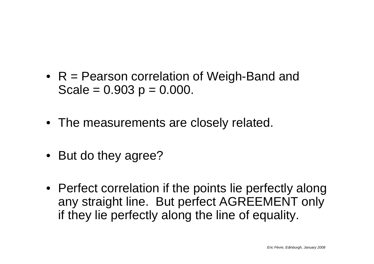- R = Pearson correlation of Weigh-Band and Scale =  $0.903$  p =  $0.000$ .
- The measurements are closely related.
- But do they agree?
- Perfect correlation if the points lie perfectly along any straight line. But perfect AGREEMENT only if they lie perfectly along the line of equality.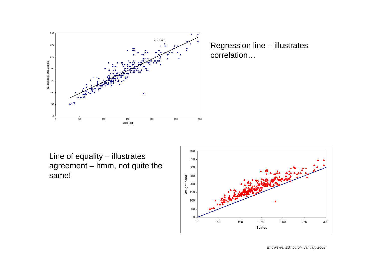

Regression line – illustrates correlation…

Line of equality – illustrates agreement – hmm, not quite the same!

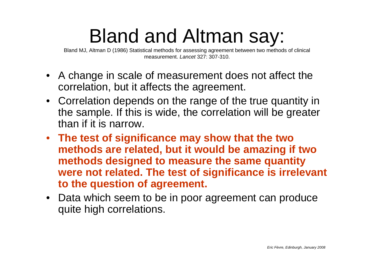## Bland and Altman say:

Bland MJ, Altman D (1986) Statistical methods for assessing agreement between two methods of clinical measurement. *Lancet* 327: 307-310.

- A change in scale of measurement does not affect the correlation, but it affects the agreement.
- Correlation depends on the range of the true quantity in the sample. If this is wide, the correlation will be greater than if it is narrow.
- **The test of significance may show that the two methods are related, but it would be amazing if two methods designed to measure the same quantity were not related. The test of significance is irrelevant to the question of agreement.**
- Data which seem to be in poor agreement can produce quite high correlations.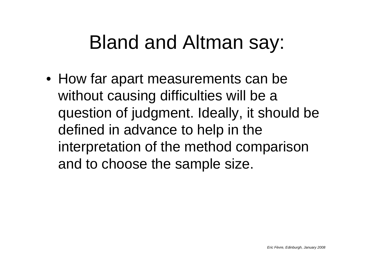#### Bland and Altman say:

• How far apart measurements can be without causing difficulties will be a question of judgment. Ideally, it should be defined in advance to help in the interpretation of the method comparison and to choose the sample size.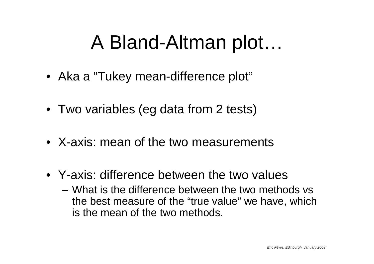#### A Bland-Altman plot…

- Aka a "Tukey mean-difference plot"
- Two variables (eg data from 2 tests)
- X-axis: mean of the two measurements
- Y-axis: difference between the two values
	- What is the difference between the two methods vsthe best measure of the "true value" we have, which is the mean of the two methods.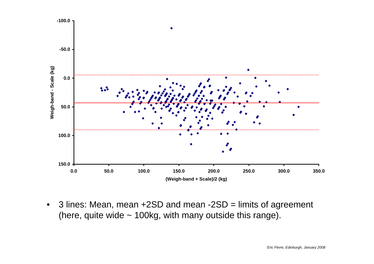

• 3 lines: Mean, mean +2SD and mean -2SD = limits of agreement (here, quite wide  $\sim$  100kg, with many outside this range).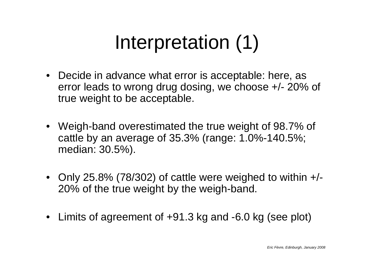### Interpretation (1)

- Decide in advance what error is acceptable: here, as error leads to wrong drug dosing, we choose +/- 20% of true weight to be acceptable.
- Weigh-band overestimated the true weight of 98.7% of cattle by an average of 35.3% (range: 1.0%-140.5%; median: 30.5%).
- Only 25.8% (78/302) of cattle were weighed to within +/- 20% of the true weight by the weigh-band.
- Limits of agreement of +91.3 kg and -6.0 kg (see plot)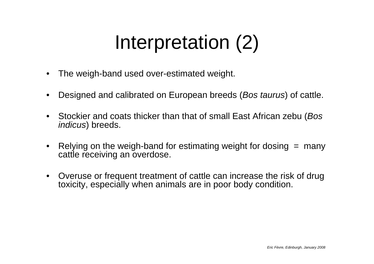## Interpretation (2)

- $\bullet$ The weigh-band used over-estimated weight.
- •Designed and calibrated on European breeds (*Bos taurus*) of cattle.
- $\bullet$  Stockier and coats thicker than that of small East African zebu (*Bos indicus*) breeds.
- $\bullet$ Relying on the weigh-band for estimating weight for dosing  $=$  many cattle receiving an overdose.
- $\bullet$  Overuse or frequent treatment of cattle can increase the risk of drug toxicity, especially when animals are in poor body condition.